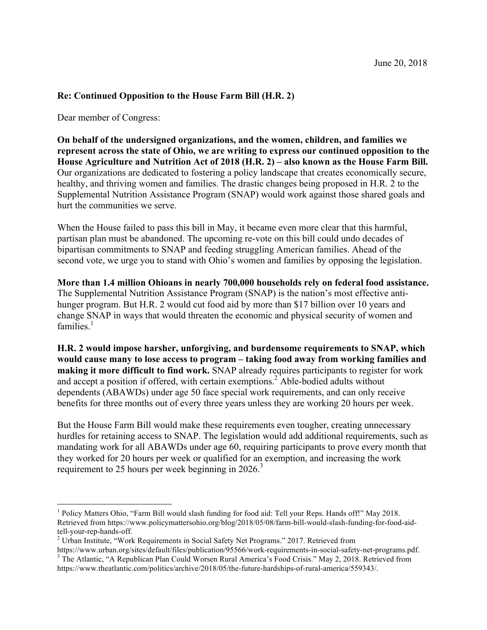## **Re: Continued Opposition to the House Farm Bill (H.R. 2)**

Dear member of Congress:

**On behalf of the undersigned organizations, and the women, children, and families we represent across the state of Ohio, we are writing to express our continued opposition to the House Agriculture and Nutrition Act of 2018 (H.R. 2) – also known as the House Farm Bill.** Our organizations are dedicated to fostering a policy landscape that creates economically secure, healthy, and thriving women and families. The drastic changes being proposed in H.R. 2 to the Supplemental Nutrition Assistance Program (SNAP) would work against those shared goals and hurt the communities we serve.

When the House failed to pass this bill in May, it became even more clear that this harmful, partisan plan must be abandoned. The upcoming re-vote on this bill could undo decades of bipartisan commitments to SNAP and feeding struggling American families. Ahead of the second vote, we urge you to stand with Ohio's women and families by opposing the legislation.

**More than 1.4 million Ohioans in nearly 700,000 households rely on federal food assistance.**  The Supplemental Nutrition Assistance Program (SNAP) is the nation's most effective antihunger program. But H.R. 2 would cut food aid by more than \$17 billion over 10 years and change SNAP in ways that would threaten the economic and physical security of women and  $f$ amilies<sup>1</sup>

**H.R. 2 would impose harsher, unforgiving, and burdensome requirements to SNAP, which would cause many to lose access to program – taking food away from working families and making it more difficult to find work.** SNAP already requires participants to register for work and accept a position if offered, with certain exemptions.<sup>2</sup> Able-bodied adults without dependents (ABAWDs) under age 50 face special work requirements, and can only receive benefits for three months out of every three years unless they are working 20 hours per week.

But the House Farm Bill would make these requirements even tougher, creating unnecessary hurdles for retaining access to SNAP. The legislation would add additional requirements, such as mandating work for all ABAWDs under age 60, requiring participants to prove every month that they worked for 20 hours per week or qualified for an exemption, and increasing the work requirement to 25 hours per week beginning in  $2026$ <sup>3</sup>

<sup>&</sup>lt;sup>1</sup> Policy Matters Ohio, "Farm Bill would slash funding for food aid: Tell your Reps. Hands off!" May 2018. Retrieved from https://www.policymattersohio.org/blog/2018/05/08/farm-bill-would-slash-funding-for-food-aidtell-your-rep-hands-off.<br><sup>2</sup> Urban Institute, "Work Requirements in Social Safety Net Programs." 2017. Retrieved from<br>https://www.urban.org/sites/default/files/publication/95566/work-requirements-in-social-safety-net-progr

 $\frac{1}{3}$  The Atlantic, "A Republican Plan Could Worsen Rural America's Food Crisis." May 2, 2018. Retrieved from https://www.theatlantic.com/politics/archive/2018/05/the-future-hardships-of-rural-america/559343/.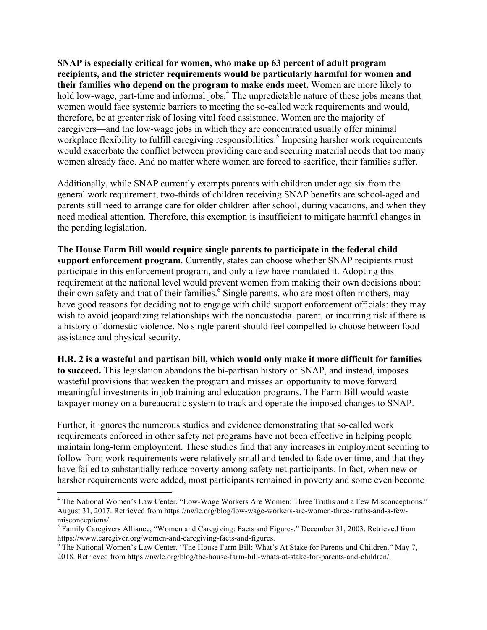**SNAP is especially critical for women, who make up 63 percent of adult program recipients, and the stricter requirements would be particularly harmful for women and their families who depend on the program to make ends meet.** Women are more likely to hold low-wage, part-time and informal jobs.<sup>4</sup> The unpredictable nature of these jobs means that women would face systemic barriers to meeting the so-called work requirements and would, therefore, be at greater risk of losing vital food assistance. Women are the majority of caregivers—and the low-wage jobs in which they are concentrated usually offer minimal workplace flexibility to fulfill caregiving responsibilities.<sup>5</sup> Imposing harsher work requirements would exacerbate the conflict between providing care and securing material needs that too many women already face. And no matter where women are forced to sacrifice, their families suffer.

Additionally, while SNAP currently exempts parents with children under age six from the general work requirement, two-thirds of children receiving SNAP benefits are school-aged and parents still need to arrange care for older children after school, during vacations, and when they need medical attention. Therefore, this exemption is insufficient to mitigate harmful changes in the pending legislation.

**The House Farm Bill would require single parents to participate in the federal child support enforcement program**. Currently, states can choose whether SNAP recipients must participate in this enforcement program, and only a few have mandated it. Adopting this requirement at the national level would prevent women from making their own decisions about their own safety and that of their families.<sup>6</sup> Single parents, who are most often mothers, may have good reasons for deciding not to engage with child support enforcement officials: they may wish to avoid jeopardizing relationships with the noncustodial parent, or incurring risk if there is a history of domestic violence. No single parent should feel compelled to choose between food assistance and physical security.

**H.R. 2 is a wasteful and partisan bill, which would only make it more difficult for families to succeed.** This legislation abandons the bi-partisan history of SNAP, and instead, imposes wasteful provisions that weaken the program and misses an opportunity to move forward meaningful investments in job training and education programs. The Farm Bill would waste taxpayer money on a bureaucratic system to track and operate the imposed changes to SNAP.

Further, it ignores the numerous studies and evidence demonstrating that so-called work requirements enforced in other safety net programs have not been effective in helping people maintain long-term employment. These studies find that any increases in employment seeming to follow from work requirements were relatively small and tended to fade over time, and that they have failed to substantially reduce poverty among safety net participants. In fact, when new or harsher requirements were added, most participants remained in poverty and some even become

<sup>&</sup>lt;sup>4</sup> The National Women's Law Center, "Low-Wage Workers Are Women: Three Truths and a Few Misconceptions." August 31, 2017. Retrieved from https://nwlc.org/blog/low-wage-workers-are-women-three-truths-and-a-fewmisconceptions/.<br><sup>5</sup> Family Caregivers Alliance, "Women and Caregiving: Facts and Figures." December 31, 2003. Retrieved from

https://www.caregiver.org/women-and-caregiving-facts-and-figures.<br><sup>6</sup> The National Women's Law Center, "The House Farm Bill: What's At Stake for Parents and Children." May 7,

<sup>2018.</sup> Retrieved from https://nwlc.org/blog/the-house-farm-bill-whats-at-stake-for-parents-and-children/.